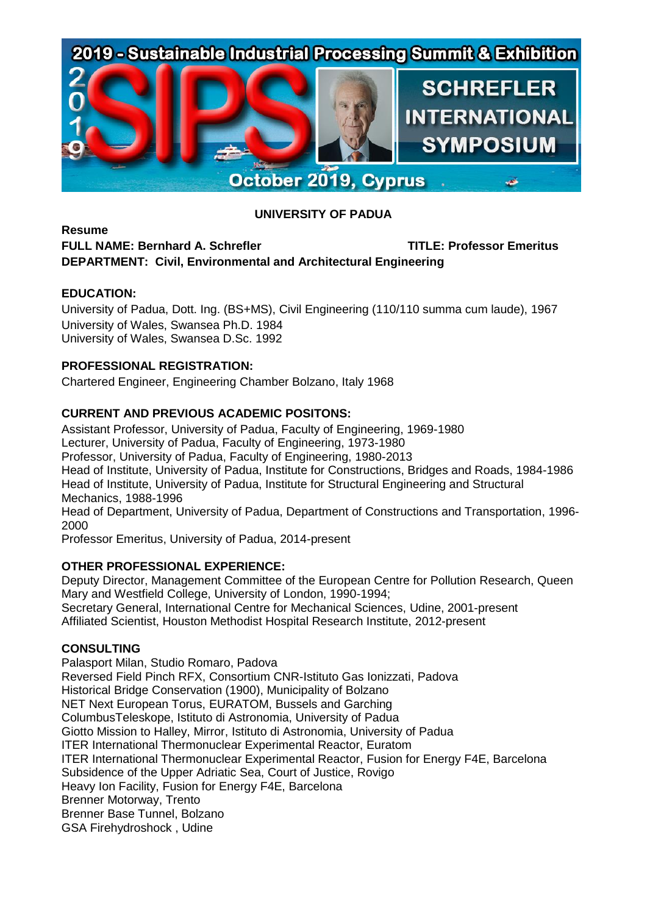# 2019 - Sustainable Industrial Processing Summit & Exhibition



# **UNIVERSITY OF PADUA**

# **Resume FULL NAME: Bernhard A. Schrefler TITLE: Professor Emeritus DEPARTMENT: Civil, Environmental and Architectural Engineering**

## **EDUCATION:**

University of Padua, Dott. Ing. (BS+MS), Civil Engineering (110/110 summa cum laude), 1967 University of Wales, Swansea Ph.D. 1984 University of Wales, Swansea D.Sc. 1992

## **PROFESSIONAL REGISTRATION:**

Chartered Engineer, Engineering Chamber Bolzano, Italy 1968

# **CURRENT AND PREVIOUS ACADEMIC POSITONS:**

Assistant Professor, University of Padua, Faculty of Engineering, 1969-1980 Lecturer, University of Padua, Faculty of Engineering, 1973-1980 Professor, University of Padua, Faculty of Engineering, 1980-2013 Head of Institute, University of Padua, Institute for Constructions, Bridges and Roads, 1984-1986 Head of Institute, University of Padua, Institute for Structural Engineering and Structural Mechanics, 1988-1996 Head of Department, University of Padua, Department of Constructions and Transportation, 1996-

2000

Professor Emeritus, University of Padua, 2014-present

#### **OTHER PROFESSIONAL EXPERIENCE:**

Deputy Director, Management Committee of the European Centre for Pollution Research, Queen Mary and Westfield College, University of London, 1990-1994; Secretary General, International Centre for Mechanical Sciences, Udine, 2001-present

Affiliated Scientist, Houston Methodist Hospital Research Institute, 2012-present

#### **CONSULTING**

Palasport Milan, Studio Romaro, Padova Reversed Field Pinch RFX, Consortium CNR-Istituto Gas Ionizzati, Padova Historical Bridge Conservation (1900), Municipality of Bolzano NET Next European Torus, EURATOM, Bussels and Garching ColumbusTeleskope, Istituto di Astronomia, University of Padua Giotto Mission to Halley, Mirror, Istituto di Astronomia, University of Padua ITER International Thermonuclear Experimental Reactor, Euratom ITER International Thermonuclear Experimental Reactor, Fusion for Energy F4E, Barcelona Subsidence of the Upper Adriatic Sea, Court of Justice, Rovigo Heavy Ion Facility, Fusion for Energy F4E, Barcelona Brenner Motorway, Trento Brenner Base Tunnel, Bolzano GSA Firehydroshock , Udine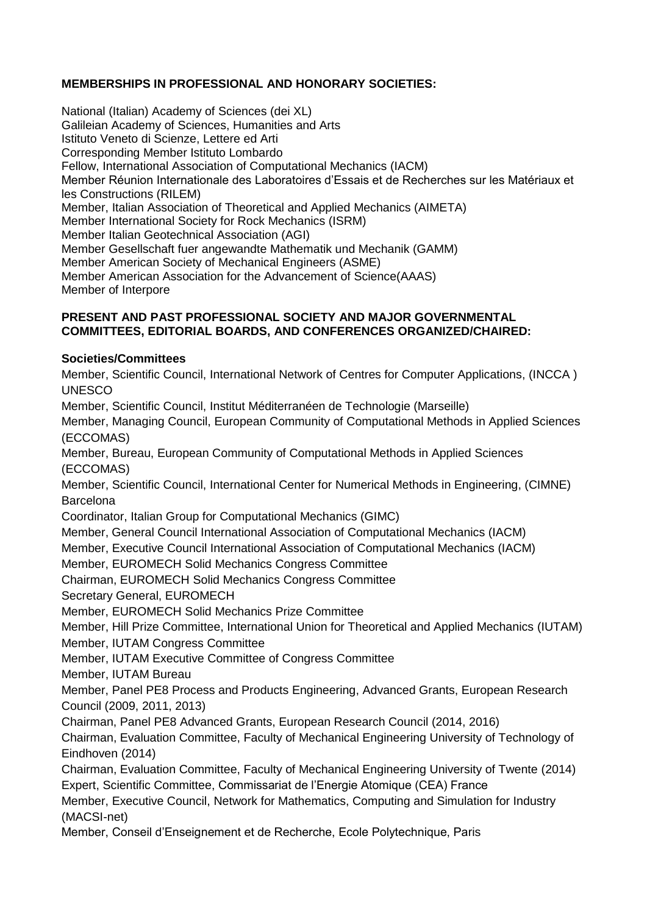# **MEMBERSHIPS IN PROFESSIONAL AND HONORARY SOCIETIES:**

National (Italian) Academy of Sciences (dei XL) Galileian Academy of Sciences, Humanities and Arts Istituto Veneto di Scienze, Lettere ed Arti Corresponding Member Istituto Lombardo Fellow, International Association of Computational Mechanics (IACM) Member Réunion Internationale des Laboratoires d'Essais et de Recherches sur les Matériaux et les Constructions (RILEM) Member, Italian Association of Theoretical and Applied Mechanics (AIMETA) Member International Society for Rock Mechanics (ISRM) Member Italian Geotechnical Association (AGI) Member Gesellschaft fuer angewandte Mathematik und Mechanik (GAMM) Member American Society of Mechanical Engineers (ASME) Member American Association for the Advancement of Science(AAAS) Member of Interpore

#### **PRESENT AND PAST PROFESSIONAL SOCIETY AND MAJOR GOVERNMENTAL COMMITTEES, EDITORIAL BOARDS, AND CONFERENCES ORGANIZED/CHAIRED:**

## **Societies/Committees**

Member, Scientific Council, International Network of Centres for Computer Applications, (INCCA ) UNESCO

Member, Scientific Council, Institut Méditerranéen de Technologie (Marseille)

Member, Managing Council, European Community of Computational Methods in Applied Sciences (ECCOMAS)

Member, Bureau, European Community of Computational Methods in Applied Sciences (ECCOMAS)

Member, Scientific Council, International Center for Numerical Methods in Engineering, (CIMNE) Barcelona

Coordinator, Italian Group for Computational Mechanics (GIMC)

Member, General Council International Association of Computational Mechanics (IACM)

Member, Executive Council International Association of Computational Mechanics (IACM)

Member, EUROMECH Solid Mechanics Congress Committee

Chairman, EUROMECH Solid Mechanics Congress Committee

Secretary General, EUROMECH

Member, EUROMECH Solid Mechanics Prize Committee

Member, Hill Prize Committee, International Union for Theoretical and Applied Mechanics (IUTAM) Member, IUTAM Congress Committee

Member, IUTAM Executive Committee of Congress Committee

Member, IUTAM Bureau

Member, Panel PE8 Process and Products Engineering, Advanced Grants, European Research Council (2009, 2011, 2013)

Chairman, Panel PE8 Advanced Grants, European Research Council (2014, 2016)

Chairman, Evaluation Committee, Faculty of Mechanical Engineering University of Technology of Eindhoven (2014)

Chairman, Evaluation Committee, Faculty of Mechanical Engineering University of Twente (2014) Expert, Scientific Committee, Commissariat de l'Energie Atomique (CEA) France

Member, Executive Council, Network for Mathematics, Computing and Simulation for Industry (MACSI-net)

Member, Conseil d'Enseignement et de Recherche, Ecole Polytechnique, Paris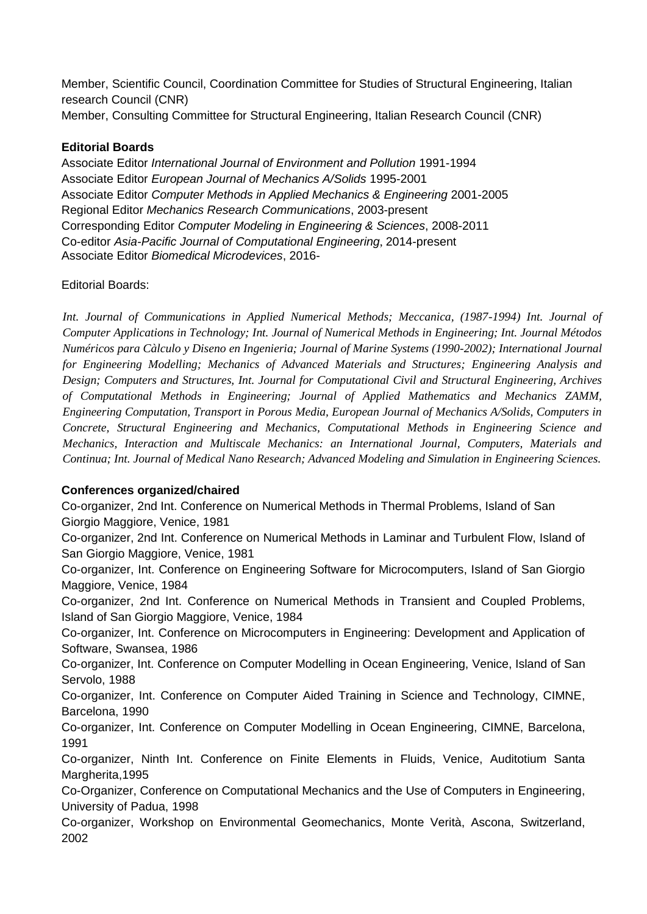Member, Scientific Council, Coordination Committee for Studies of Structural Engineering, Italian research Council (CNR) Member, Consulting Committee for Structural Engineering, Italian Research Council (CNR)

## **Editorial Boards**

Associate Editor *International Journal of Environment and Pollution* 1991-1994 Associate Editor *European Journal of Mechanics A/Solids* 1995-2001 Associate Editor *Computer Methods in Applied Mechanics & Engineering* 2001-2005 Regional Editor *Mechanics Research Communications*, 2003-present Corresponding Editor *Computer Modeling in Engineering & Sciences*, 2008-2011 Co-editor *Asia-Pacific Journal of Computational Engineering*, 2014-present Associate Editor *Biomedical Microdevices*, 2016-

# Editorial Boards:

*Int. Journal of Communications in Applied Numerical Methods; Meccanica, (1987-1994) Int. Journal of Computer Applications in Technology; Int. Journal of Numerical Methods in Engineering; Int. Journal Métodos Numéricos para Càlculo y Diseno en Ingenieria; Journal of Marine Systems (1990-2002); International Journal for Engineering Modelling; Mechanics of Advanced Materials and Structures; Engineering Analysis and Design; Computers and Structures, Int. Journal for Computational Civil and Structural Engineering, Archives of Computational Methods in Engineering; Journal of Applied Mathematics and Mechanics ZAMM, Engineering Computation, Transport in Porous Media, European Journal of Mechanics A/Solids, Computers in Concrete, Structural Engineering and Mechanics, Computational Methods in Engineering Science and Mechanics, Interaction and Multiscale Mechanics: an International Journal, Computers, Materials and Continua; Int. Journal of Medical Nano Research; Advanced Modeling and Simulation in Engineering Sciences.*

#### **Conferences organized/chaired**

Co-organizer, 2nd Int. Conference on Numerical Methods in Thermal Problems, Island of San Giorgio Maggiore, Venice, 1981

Co-organizer, 2nd Int. Conference on Numerical Methods in Laminar and Turbulent Flow, Island of San Giorgio Maggiore, Venice, 1981

Co-organizer, Int. Conference on Engineering Software for Microcomputers, Island of San Giorgio Maggiore, Venice, 1984

Co-organizer, 2nd Int. Conference on Numerical Methods in Transient and Coupled Problems, Island of San Giorgio Maggiore, Venice, 1984

Co-organizer, Int. Conference on Microcomputers in Engineering: Development and Application of Software, Swansea, 1986

Co-organizer, Int. Conference on Computer Modelling in Ocean Engineering, Venice, Island of San Servolo, 1988

Co-organizer, Int. Conference on Computer Aided Training in Science and Technology, CIMNE, Barcelona, 1990

Co-organizer, Int. Conference on Computer Modelling in Ocean Engineering, CIMNE, Barcelona, 1991

Co-organizer, Ninth Int. Conference on Finite Elements in Fluids, Venice, Auditotium Santa Margherita,1995

Co-Organizer, Conference on Computational Mechanics and the Use of Computers in Engineering, University of Padua, 1998

Co-organizer, Workshop on Environmental Geomechanics, Monte Verità, Ascona, Switzerland, 2002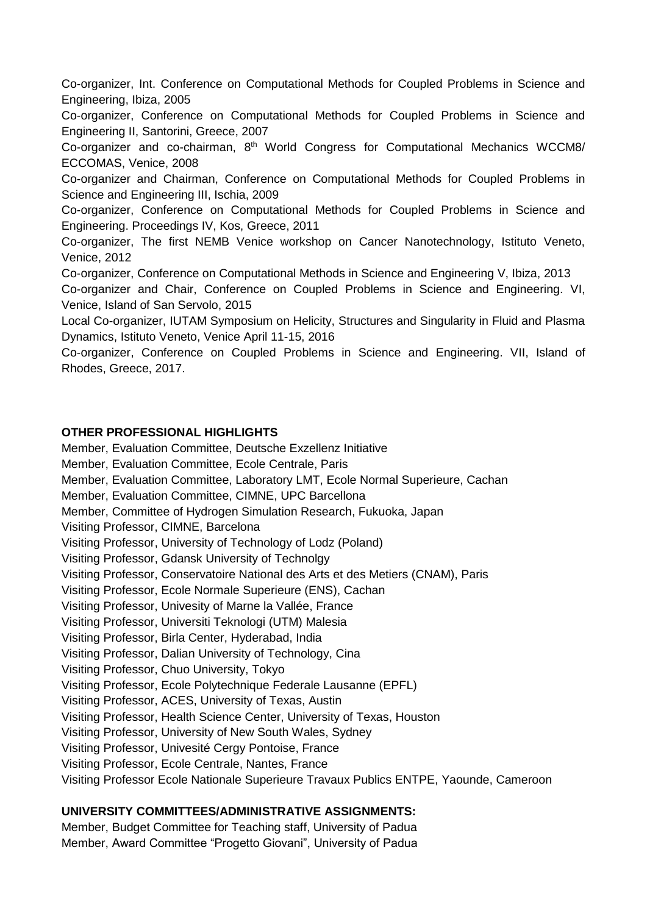Co-organizer, Int. Conference on Computational Methods for Coupled Problems in Science and Engineering, Ibiza, 2005

Co-organizer, Conference on Computational Methods for Coupled Problems in Science and Engineering II, Santorini, Greece, 2007

Co-organizer and co-chairman, 8<sup>th</sup> World Congress for Computational Mechanics WCCM8/ ECCOMAS, Venice, 2008

Co-organizer and Chairman, Conference on Computational Methods for Coupled Problems in Science and Engineering III, Ischia, 2009

Co-organizer, Conference on Computational Methods for Coupled Problems in Science and Engineering. Proceedings IV, Kos, Greece, 2011

Co-organizer, The first NEMB Venice workshop on Cancer Nanotechnology, Istituto Veneto, Venice, 2012

Co-organizer, Conference on Computational Methods in Science and Engineering V, Ibiza, 2013

Co-organizer and Chair, Conference on Coupled Problems in Science and Engineering. VI, Venice, Island of San Servolo, 2015

Local Co-organizer, IUTAM Symposium on Helicity, Structures and Singularity in Fluid and Plasma Dynamics, Istituto Veneto, Venice April 11-15, 2016

Co-organizer, Conference on Coupled Problems in Science and Engineering. VII, Island of Rhodes, Greece, 2017.

## **OTHER PROFESSIONAL HIGHLIGHTS**

Member, Evaluation Committee, Deutsche Exzellenz Initiative Member, Evaluation Committee, Ecole Centrale, Paris Member, Evaluation Committee, Laboratory LMT, Ecole Normal Superieure, Cachan Member, Evaluation Committee, CIMNE, UPC Barcellona Member, Committee of Hydrogen Simulation Research, Fukuoka, Japan Visiting Professor, CIMNE, Barcelona Visiting Professor, University of Technology of Lodz (Poland) Visiting Professor, Gdansk University of Technolgy Visiting Professor, Conservatoire National des Arts et des Metiers (CNAM), Paris Visiting Professor, Ecole Normale Superieure (ENS), Cachan Visiting Professor, Univesity of Marne la Vallée, France Visiting Professor, Universiti Teknologi (UTM) Malesia Visiting Professor, Birla Center, Hyderabad, India Visiting Professor, Dalian University of Technology, Cina Visiting Professor, Chuo University, Tokyo Visiting Professor, Ecole Polytechnique Federale Lausanne (EPFL) Visiting Professor, ACES, University of Texas, Austin Visiting Professor, Health Science Center, University of Texas, Houston Visiting Professor, University of New South Wales, Sydney Visiting Professor, Univesité Cergy Pontoise, France Visiting Professor, Ecole Centrale, Nantes, France Visiting Professor Ecole Nationale Superieure Travaux Publics ENTPE, Yaounde, Cameroon

# **UNIVERSITY COMMITTEES/ADMINISTRATIVE ASSIGNMENTS:**

Member, Budget Committee for Teaching staff, University of Padua Member, Award Committee "Progetto Giovani", University of Padua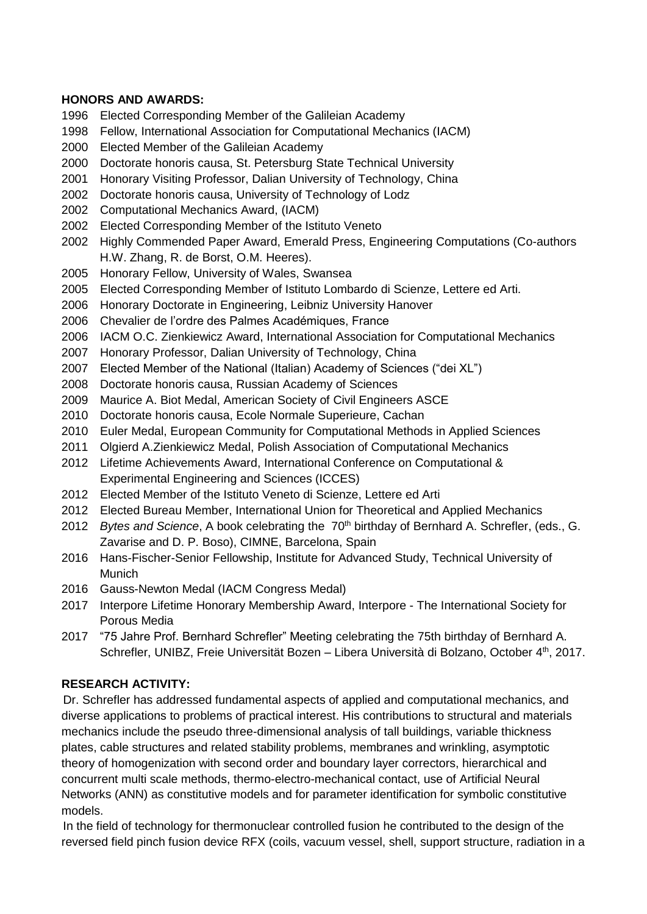#### **HONORS AND AWARDS:**

- 1996 Elected Corresponding Member of the Galileian Academy
- 1998 Fellow, International Association for Computational Mechanics (IACM)
- 2000 Elected Member of the Galileian Academy
- 2000 Doctorate honoris causa, St. Petersburg State Technical University
- 2001 Honorary Visiting Professor, Dalian University of Technology, China
- 2002 Doctorate honoris causa, University of Technology of Lodz
- 2002 Computational Mechanics Award, (IACM)
- 2002 Elected Corresponding Member of the Istituto Veneto
- 2002 Highly Commended Paper Award, Emerald Press, Engineering Computations (Co-authors H.W. Zhang, R. de Borst, O.M. Heeres).
- 2005 Honorary Fellow, University of Wales, Swansea
- 2005 Elected Corresponding Member of Istituto Lombardo di Scienze, Lettere ed Arti.
- 2006 Honorary Doctorate in Engineering, Leibniz University Hanover
- 2006 Chevalier de l'ordre des Palmes Académiques, France
- 2006 IACM O.C. Zienkiewicz Award, International Association for Computational Mechanics
- 2007 Honorary Professor, Dalian University of Technology, China
- 2007 Elected Member of the National (Italian) Academy of Sciences ("dei XL")
- 2008 Doctorate honoris causa, Russian Academy of Sciences
- 2009 Maurice A. Biot Medal, American Society of Civil Engineers ASCE
- 2010 Doctorate honoris causa, Ecole Normale Superieure, Cachan
- 2010 Euler Medal, European Community for Computational Methods in Applied Sciences
- 2011 Olgierd A.Zienkiewicz Medal, Polish Association of Computational Mechanics
- 2012 Lifetime Achievements Award, International Conference on Computational & Experimental Engineering and Sciences (ICCES)
- 2012 Elected Member of the Istituto Veneto di Scienze, Lettere ed Arti
- 2012 Elected Bureau Member, International Union for Theoretical and Applied Mechanics
- 2012 Bytes and Science, A book celebrating the 70<sup>th</sup> birthday of Bernhard A. Schrefler, (eds., G. Zavarise and D. P. Boso), CIMNE, Barcelona, Spain
- 2016 Hans-Fischer-Senior Fellowship, Institute for Advanced Study, Technical University of **Munich**
- 2016 Gauss-Newton Medal (IACM Congress Medal)
- 2017 Interpore Lifetime Honorary Membership Award, Interpore The International Society for Porous Media
- 2017 "75 Jahre Prof. Bernhard Schrefler" Meeting celebrating the 75th birthday of Bernhard A. Schrefler, UNIBZ, Freie Universität Bozen – Libera Università di Bolzano, October 4th, 2017.

# **RESEARCH ACTIVITY:**

 Dr. Schrefler has addressed fundamental aspects of applied and computational mechanics, and diverse applications to problems of practical interest. His contributions to structural and materials mechanics include the pseudo three-dimensional analysis of tall buildings, variable thickness plates, cable structures and related stability problems, membranes and wrinkling, asymptotic theory of homogenization with second order and boundary layer correctors, hierarchical and concurrent multi scale methods, thermo-electro-mechanical contact, use of Artificial Neural Networks (ANN) as constitutive models and for parameter identification for symbolic constitutive models.

 In the field of technology for thermonuclear controlled fusion he contributed to the design of the reversed field pinch fusion device RFX (coils, vacuum vessel, shell, support structure, radiation in a